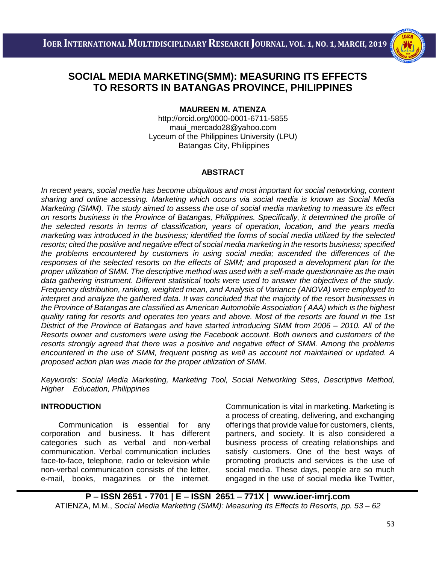

# **SOCIAL MEDIA MARKETING(SMM): MEASURING ITS EFFECTS TO RESORTS IN BATANGAS PROVINCE, PHILIPPINES**

i<br>I

## **MAUREEN M. ATIENZA**

<http://orcid.org/0000-0001-6711-5855> [maui\\_mercado28@yahoo.com](mailto:maui_mercado28@yahoo.com) Lyceum of the Philippines University (LPU) Batangas City, Philippines

# **ABSTRACT**

*In recent years, social media has become ubiquitous and most important for social networking, content sharing and online accessing. Marketing which occurs via social media is known as Social Media Marketing (SMM). The study aimed to assess the use of social media marketing to measure its effect on resorts business in the Province of Batangas, Philippines. Specifically, it determined the profile of the selected resorts in terms of classification, years of operation, location, and the years media marketing was introduced in the business; identified the forms of social media utilized by the selected resorts; cited the positive and negative effect of social media marketing in the resorts business; specified the problems encountered by customers in using social media; ascended the differences of the responses of the selected resorts on the effects of SMM; and proposed a development plan for the proper utilization of SMM. The descriptive method was used with a self-made questionnaire as the main data gathering instrument. Different statistical tools were used to answer the objectives of the study. Frequency distribution, ranking, weighted mean, and Analysis of Variance (ANOVA) were employed to interpret and analyze the gathered data. It was concluded that the majority of the resort businesses in the Province of Batangas are classified as American Automobile Association ( AAA) which is the highest quality rating for resorts and operates ten years and above. Most of the resorts are found in the 1st District of the Province of Batangas and have started introducing SMM from 2006 – 2010. All of the Resorts owner and customers were using the Facebook account. Both owners and customers of the resorts strongly agreed that there was a positive and negative effect of SMM. Among the problems encountered in the use of SMM, frequent posting as well as account not maintained or updated. A proposed action plan was made for the proper utilization of SMM.*

*Keywords: Social Media Marketing, Marketing Tool, Social Networking Sites, Descriptive Method, Higher Education, Philippines*

## **INTRODUCTION**

 Communication is essential for any corporation and business. It has different categories such as verbal and non-verbal communication. Verbal communication includes face-to-face, telephone, radio or television while non-verbal communication consists of the letter, e-mail, books, magazines or the internet. Communication is vital in marketing. Marketing is a process of creating, delivering, and exchanging offerings that provide value for customers, clients, partners, and society. It is also considered a business process of creating relationships and satisfy customers. One of the best ways of promoting products and services is the use of social media. These days, people are so much engaged in the use of social media like Twitter,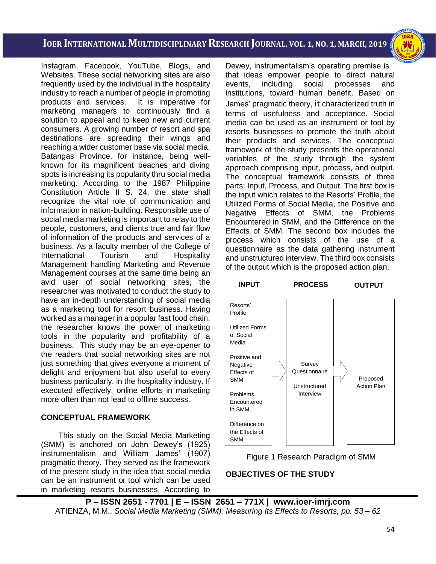i<br>I

Instagram, Facebook, YouTube, Blogs, and Websites. These social networking sites are also frequently used by the individual in the hospitality industry to reach a number of people in promoting products and services. It is imperative for marketing managers to continuously find a solution to appeal and to keep new and current consumers. A growing number of resort and spa destinations are spreading their wings and reaching a wider customer base via social media. Batangas Province, for instance, being wellknown for its magnificent beaches and diving spots is increasing its popularity thru social media marketing. According to the 1987 Philippine Constitution Article II S. 24, the state shall recognize the vital role of communication and information in nation-building. Responsible use of social media marketing is important to relay to the people, customers, and clients true and fair flow of information of the products and services of a business. As a faculty member of the College of International Tourism and Hospitality Management handling Marketing and Revenue Management courses at the same time being an avid user of social networking sites, the researcher was motivated to conduct the study to have an in-depth understanding of social media as a marketing tool for resort business. Having worked as a manager in a popular fast food chain, the researcher knows the power of marketing tools in the popularity and profitability of a business. This study may be an eye-opener to the readers that social networking sites are not just something that gives everyone a moment of delight and enjoyment but also useful to every business particularly, in the hospitality industry. If executed effectively, online efforts in marketing more often than not lead to offline success.

# **CONCEPTUAL FRAMEWORK**

This study on the Social Media Marketing (SMM) is anchored on John Dewey's (1925) instrumentalism and William James' (1907) pragmatic theory. They served as the framework of the present study in the idea that social media can be an instrument or tool which can be used in marketing resorts businesses. According to Dewey, instrumentalism's operating premise is that ideas empower people to direct natural events, including social processes and institutions, toward human benefit. Based on James' pragmatic theory, it characterized truth in terms of usefulness and acceptance. Social media can be used as an instrument or tool by resorts businesses to promote the truth about their products and services. The conceptual framework of the study presents the operational variables of the study through the system approach comprising input, process, and output. The conceptual framework consists of three parts: Input, Process, and Output. The first box is the input which relates to the Resorts' Profile, the Utilized Forms of Social Media, the Positive and Negative Effects of SMM, the Problems Encountered in SMM, and the Difference on the Effects of SMM. The second box includes the process which consists of the use of a questionnaire as the data gathering instrument and unstructured interview. The third box consists of the output which is the proposed action plan.





# **OBJECTIVES OF THE STUDY**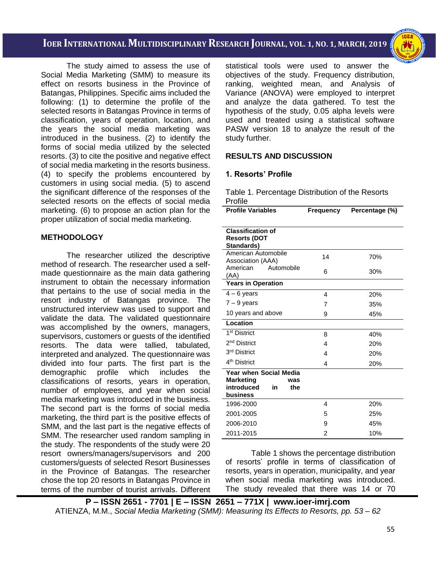

 The study aimed to assess the use of Social Media Marketing (SMM) to measure its effect on resorts business in the Province of Batangas, Philippines. Specific aims included the following: (1) to determine the profile of the selected resorts in Batangas Province in terms of classification, years of operation, location, and the years the social media marketing was introduced in the business. (2) to identify the forms of social media utilized by the selected resorts. (3) to cite the positive and negative effect of social media marketing in the resorts business. (4) to specify the problems encountered by customers in using social media. (5) to ascend the significant difference of the responses of the selected resorts on the effects of social media marketing. (6) to propose an action plan for the proper utilization of social media marketing.

## **METHODOLOGY**

The researcher utilized the descriptive method of research. The researcher used a selfmade questionnaire as the main data gathering instrument to obtain the necessary information that pertains to the use of social media in the resort industry of Batangas province. The unstructured interview was used to support and validate the data. The validated questionnaire was accomplished by the owners, managers, supervisors, customers or guests of the identified resorts. The data were tallied, tabulated, interpreted and analyzed. The questionnaire was divided into four parts. The first part is the demographic profile which includes the classifications of resorts, years in operation, number of employees, and year when social media marketing was introduced in the business. The second part is the forms of social media marketing, the third part is the positive effects of SMM, and the last part is the negative effects of SMM. The researcher used random sampling in the study. The respondents of the study were 20 resort owners/managers/supervisors and 200 customers/guests of selected Resort Businesses in the Province of Batangas. The researcher chose the top 20 resorts in Batangas Province in terms of the number of tourist arrivals. Different

statistical tools were used to answer the objectives of the study. Frequency distribution, ranking, weighted mean, and Analysis of Variance (ANOVA) were employed to interpret and analyze the data gathered. To test the hypothesis of the study, 0.05 alpha levels were used and treated using a statistical software PASW version 18 to analyze the result of the study further.

# **RESULTS AND DISCUSSION**

## **1. Resorts' Profile**

Table 1. Percentage Distribution of the Resorts Profile

| <b>Profile Variables</b>                                       | <b>Frequency</b> | Percentage (%) |
|----------------------------------------------------------------|------------------|----------------|
| <b>Classification of</b><br><b>Resorts (DOT</b><br>Standards)  |                  |                |
| American Automobile<br>Association (AAA)                       | 14               | 70%            |
| American<br>Automobile<br>(AA)                                 | 6                | 30%            |
| <b>Years in Operation</b>                                      |                  |                |
| $4 - 6$ years                                                  | 4                | 20%            |
| $7 - 9$ years                                                  | 7                | 35%            |
| 10 years and above                                             | 9                | 45%            |
| Location                                                       |                  |                |
| 1 <sup>st</sup> District                                       | 8                | 40%            |
| 2 <sup>nd</sup> District                                       | 4                | 20%            |
| 3 <sup>rd</sup> District                                       | 4                | 20%            |
| 4 <sup>th</sup> District                                       | 4                | 20%            |
| <b>Year when Social Media</b>                                  |                  |                |
| <b>Marketing</b><br>was<br>introduced<br>the<br>in<br>business |                  |                |
| 1996-2000                                                      | 4                | 20%            |
| 2001-2005                                                      | 5                | 25%            |
| 2006-2010                                                      | 9                | 45%            |
| 2011-2015                                                      | 2                | 10%            |

Table 1 shows the percentage distribution of resorts' profile in terms of classification of resorts, years in operation, municipality, and year when social media marketing was introduced. The study revealed that there was 14 or 70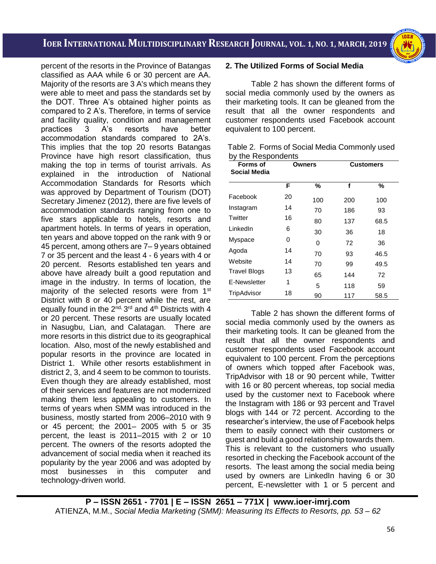i<br>I



percent of the resorts in the Province of Batangas classified as AAA while 6 or 30 percent are AA. Majority of the resorts are 3 A's which means they were able to meet and pass the standards set by the DOT. Three A's obtained higher points as compared to 2 A's. Therefore, in terms of service and facility quality, condition and management practices 3 A's resorts have better accommodation standards compared to 2A's. This implies that the top 20 resorts Batangas Province have high resort classification, thus making the top in terms of tourist arrivals. As explained in the introduction of National Accommodation Standards for Resorts which was approved by Department of Tourism (DOT) Secretary Jimenez (2012), there are five levels of accommodation standards ranging from one to five stars applicable to hotels, resorts and apartment hotels. In terms of years in operation, ten years and above topped on the rank with 9 or 45 percent, among others are 7– 9 years obtained 7 or 35 percent and the least 4 - 6 years with 4 or 20 percent. Resorts established ten years and above have already built a good reputation and image in the industry. In terms of location, the majority of the selected resorts were from 1<sup>st</sup> District with 8 or 40 percent while the rest, are equally found in the  $2^{nd}$ , 3<sup>rd</sup> and 4<sup>th</sup> Districts with 4 or 20 percent. These resorts are usually located in Nasugbu, Lian, and Calatagan. There are more resorts in this district due to its geographical location. Also, most of the newly established and popular resorts in the province are located in District 1. While other resorts establishment in district 2, 3, and 4 seem to be common to tourists. Even though they are already established, most of their services and features are not modernized making them less appealing to customers. In terms of years when SMM was introduced in the business, mostly started from 2006–2010 with 9 or 45 percent; the 2001– 2005 with 5 or 35 percent, the least is 2011–2015 with 2 or 10 percent. The owners of the resorts adopted the advancement of social media when it reached its popularity by the year 2006 and was adopted by most businesses in this computer and technology-driven world.

#### **2. The Utilized Forms of Social Media**

Table 2 has shown the different forms of social media commonly used by the owners as their marketing tools. It can be gleaned from the result that all the owner respondents and customer respondents used Facebook account equivalent to 100 percent.

| Table 2. Forms of Social Media Commonly used |
|----------------------------------------------|
| by the Respondents                           |

| <b>Forms of</b><br><b>Social Media</b> | Owners |     |     | <b>Customers</b> |
|----------------------------------------|--------|-----|-----|------------------|
|                                        | F      | %   | f   | %                |
| Facebook                               | 20     | 100 | 200 | 100              |
| Instagram                              | 14     | 70  | 186 | 93               |
| Twitter                                | 16     | 80  | 137 | 68.5             |
| LinkedIn                               | 6      | 30  | 36  | 18               |
| Myspace                                | 0      | 0   | 72  | 36               |
| Agoda                                  | 14     | 70  | 93  | 46.5             |
| Website                                | 14     | 70  | 99  | 49.5             |
| <b>Travel Blogs</b>                    | 13     | 65  | 144 | 72               |
| E-Newsletter                           | 1      | 5   | 118 | 59               |
| TripAdvisor                            | 18     | 90  | 117 | 58.5             |

Table 2 has shown the different forms of social media commonly used by the owners as their marketing tools. It can be gleaned from the result that all the owner respondents and customer respondents used Facebook account equivalent to 100 percent. From the perceptions of owners which topped after Facebook was, TripAdvisor with 18 or 90 percent while, Twitter with 16 or 80 percent whereas, top social media used by the customer next to Facebook where the Instagram with 186 or 93 percent and Travel blogs with 144 or 72 percent. According to the researcher's interview, the use of Facebook helps them to easily connect with their customers or guest and build a good relationship towards them. This is relevant to the customers who usually resorted in checking the Facebook account of the resorts. The least among the social media being used by owners are LinkedIn having 6 or 30 percent, E-newsletter with 1 or 5 percent and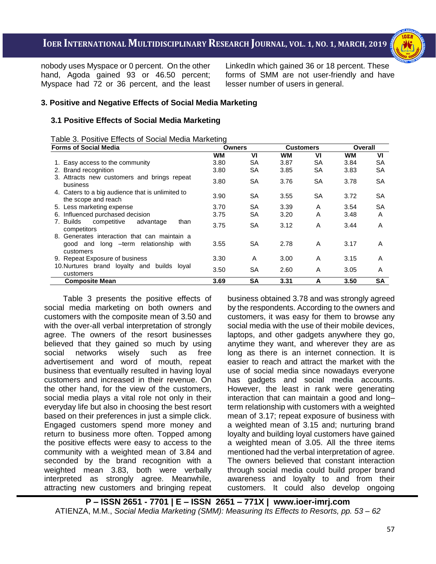nobody uses Myspace or 0 percent. On the other hand, Agoda gained 93 or 46.50 percent; Myspace had 72 or 36 percent, and the least LinkedIn which gained 36 or 18 percent. These forms of SMM are not user-friendly and have lesser number of users in general.

# **3. Positive and Negative Effects of Social Media Marketing**

# **3.1 Positive Effects of Social Media Marketing**

| Table 3. Positive Effects of Social Media Marketing |  |
|-----------------------------------------------------|--|
| <b>Forms of Social Media</b>                        |  |

| <b>Forms of Social Media</b>                                            | <b>Owners</b> |           | <b>Customers</b> |           | Overall   |           |
|-------------------------------------------------------------------------|---------------|-----------|------------------|-----------|-----------|-----------|
|                                                                         | <b>WM</b>     | VI        | WМ               | VI        | <b>WM</b> | VI        |
| 1. Easy access to the community                                         | 3.80          | <b>SA</b> | 3.87             | SA        | 3.84      | <b>SA</b> |
| 2. Brand recognition                                                    | 3.80          | SA        | 3.85             | <b>SA</b> | 3.83      | <b>SA</b> |
| 3. Attracts new customers and brings repeat<br>business                 | 3.80          | <b>SA</b> | 3.76             | <b>SA</b> | 3.78      | <b>SA</b> |
| 4. Caters to a big audience that is unlimited to<br>the scope and reach | 3.90          | <b>SA</b> | 3.55             | SA        | 3.72      | <b>SA</b> |
| 5. Less marketing expense                                               | 3.70          | SA        | 3.39             | A         | 3.54      | <b>SA</b> |
| 6. Influenced purchased decision                                        | 3.75          | <b>SA</b> | 3.20             | A         | 3.48      | A         |
| 7. Builds<br>competitive<br>advantage<br>than<br>competitors            | 3.75          | <b>SA</b> | 3.12             | A         | 3.44      | A         |
| 8. Generates interaction that can maintain a                            |               |           |                  |           |           |           |
| good and long -term relationship with<br>customers                      | 3.55          | <b>SA</b> | 2.78             | A         | 3.17      | A         |
| 9. Repeat Exposure of business                                          | 3.30          | A         | 3.00             | A         | 3.15      | A         |
| 10. Nurtures brand loyalty and builds loyal<br>customers                | 3.50          | <b>SA</b> | 2.60             | A         | 3.05      | A         |
| <b>Composite Mean</b>                                                   | 3.69          | SΑ        | 3.31             | A         | 3.50      | <b>SA</b> |

Table 3 presents the positive effects of social media marketing on both owners and customers with the composite mean of 3.50 and with the over-all verbal interpretation of strongly agree. The owners of the resort businesses believed that they gained so much by using social networks wisely such as free advertisement and word of mouth, repeat business that eventually resulted in having loyal customers and increased in their revenue. On the other hand, for the view of the customers, social media plays a vital role not only in their everyday life but also in choosing the best resort based on their preferences in just a simple click. Engaged customers spend more money and return to business more often. Topped among the positive effects were easy to access to the community with a weighted mean of 3.84 and seconded by the brand recognition with a weighted mean 3.83, both were verbally interpreted as strongly agree. Meanwhile, attracting new customers and bringing repeat

business obtained 3.78 and was strongly agreed by the respondents. According to the owners and customers, it was easy for them to browse any social media with the use of their mobile devices, laptops, and other gadgets anywhere they go, anytime they want, and wherever they are as long as there is an internet connection. It is easier to reach and attract the market with the use of social media since nowadays everyone has gadgets and social media accounts. However, the least in rank were generating interaction that can maintain a good and long– term relationship with customers with a weighted mean of 3.17; repeat exposure of business with a weighted mean of 3.15 and; nurturing brand loyalty and building loyal customers have gained a weighted mean of 3.05. All the three items mentioned had the verbal interpretation of agree. The owners believed that constant interaction through social media could build proper brand awareness and loyalty to and from their customers. It could also develop ongoing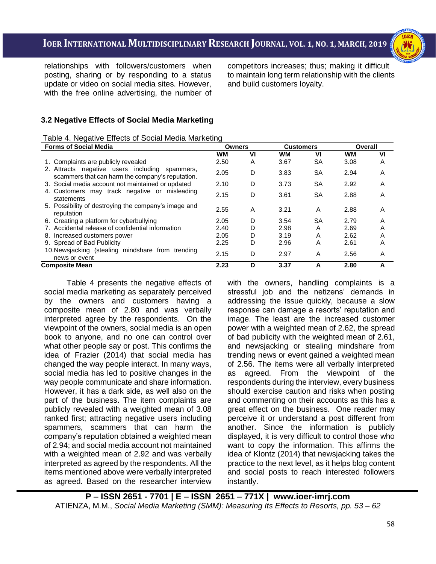

relationships with followers/customers when posting, sharing or by responding to a status update or video on social media sites. However, with the free online advertising, the number of competitors increases; thus; making it difficult to maintain long term relationship with the clients and build customers loyalty.

# **3.2 Negative Effects of Social Media Marketing**

# Table 4. Negative Effects of Social Media Marketing

| <b>Forms of Social Media</b>                                                                       | <b>Owners</b> |    | <b>Customers</b> |           | Overall   |    |
|----------------------------------------------------------------------------------------------------|---------------|----|------------------|-----------|-----------|----|
|                                                                                                    | <b>WM</b>     | VI | <b>WM</b>        | VI        | <b>WM</b> | VI |
| 1. Complaints are publicly revealed                                                                | 2.50          | A  | 3.67             | SA        | 3.08      | Α  |
| 2. Attracts negative users including spammers,<br>scammers that can harm the company's reputation. | 2.05          | D  | 3.83             | <b>SA</b> | 2.94      | A  |
| 3. Social media account not maintained or updated                                                  | 2.10          | D  | 3.73             | <b>SA</b> | 2.92      | A  |
| 4. Customers may track negative or misleading<br>statements                                        | 2.15          | D  | 3.61             | SА        | 2.88      | A  |
| 5. Possibility of destroying the company's image and<br>reputation                                 | 2.55          | A  | 3.21             | A         | 2.88      | Α  |
| 6. Creating a platform for cyberbullying                                                           | 2.05          | D  | 3.54             | SА        | 2.79      | Α  |
| 7. Accidental release of confidential information                                                  | 2.40          | D  | 2.98             | A         | 2.69      | Α  |
| 8. Increased customers power                                                                       | 2.05          | D  | 3.19             | A         | 2.62      | Α  |
| 9. Spread of Bad Publicity                                                                         | 2.25          | D  | 2.96             | Α         | 2.61      | Α  |
| 10. Newsjacking (stealing mindshare from trending<br>news or event                                 | 2.15          | D  | 2.97             | A         | 2.56      | Α  |
| Composite Mean                                                                                     | 2.23          | D  | 3.37             | A         | 2.80      | A  |

Table 4 presents the negative effects of social media marketing as separately perceived by the owners and customers having a composite mean of 2.80 and was verbally interpreted agree by the respondents. On the viewpoint of the owners, social media is an open book to anyone, and no one can control over what other people say or post. This confirms the idea of Frazier (2014) that social media has changed the way people interact. In many ways, social media has led to positive changes in the way people communicate and share information. However, it has a dark side, as well also on the part of the business. The item complaints are publicly revealed with a weighted mean of 3.08 ranked first; attracting negative users including spammers, scammers that can harm the company's reputation obtained a weighted mean of 2.94; and social media account not maintained with a weighted mean of 2.92 and was verbally interpreted as agreed by the respondents. All the items mentioned above were verbally interpreted as agreed. Based on the researcher interview

with the owners, handling complaints is a stressful job and the netizens' demands in addressing the issue quickly, because a slow response can damage a resorts' reputation and image. The least are the increased customer power with a weighted mean of 2.62, the spread of bad publicity with the weighted mean of 2.61, and newsjacking or stealing mindshare from trending news or event gained a weighted mean of 2.56. The items were all verbally interpreted as agreed. From the viewpoint of the respondents during the interview, every business should exercise caution and risks when posting and commenting on their accounts as this has a great effect on the business. One reader may perceive it or understand a post different from another. Since the information is publicly displayed, it is very difficult to control those who want to copy the information. This affirms the idea of Klontz (2014) that newsjacking takes the practice to the next level, as it helps blog content and social posts to reach interested followers instantly.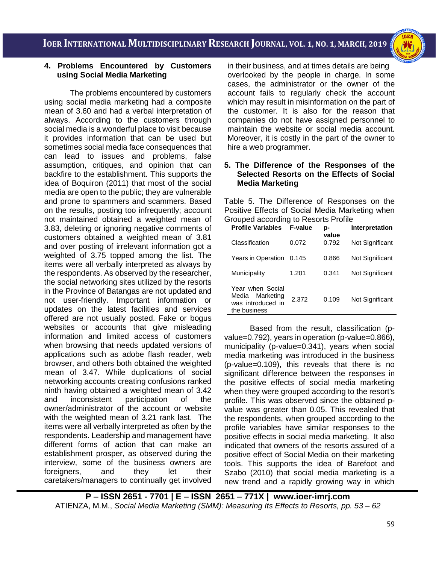## **4. Problems Encountered by Customers using Social Media Marketing**

The problems encountered by customers using social media marketing had a composite mean of 3.60 and had a verbal interpretation of always. According to the customers through social media is a wonderful place to visit because it provides information that can be used but sometimes social media face consequences that can lead to issues and problems, false assumption, critiques, and opinion that can backfire to the establishment. This supports the idea of Boquiron (2011) that most of the social media are open to the public; they are vulnerable and prone to spammers and scammers. Based on the results, posting too infrequently; account not maintained obtained a weighted mean of 3.83, deleting or ignoring negative comments of customers obtained a weighted mean of 3.81 and over posting of irrelevant information got a weighted of 3.75 topped among the list. The items were all verbally interpreted as always by the respondents. As observed by the researcher, the social networking sites utilized by the resorts in the Province of Batangas are not updated and not user-friendly. Important information or updates on the latest facilities and services offered are not usually posted. Fake or bogus websites or accounts that give misleading information and limited access of customers when browsing that needs updated versions of applications such as adobe flash reader, web browser, and others both obtained the weighted mean of 3.47. While duplications of social networking accounts creating confusions ranked ninth having obtained a weighted mean of 3.42 and inconsistent participation of the owner/administrator of the account or website with the weighted mean of 3.21 rank last. The items were all verbally interpreted as often by the respondents. Leadership and management have different forms of action that can make an establishment prosper, as observed during the interview, some of the business owners are foreigners, and they let their caretakers/managers to continually get involved

in their business, and at times details are being overlooked by the people in charge. In some cases, the administrator or the owner of the account fails to regularly check the account which may result in misinformation on the part of the customer. It is also for the reason that companies do not have assigned personnel to maintain the website or social media account. Moreover, it is costly in the part of the owner to hire a web programmer.

#### **5. The Difference of the Responses of the Selected Resorts on the Effects of Social Media Marketing**

Table 5. The Difference of Responses on the Positive Effects of Social Media Marketing when Grouped according to Resorts Profile

| <b>Profile Variables</b>                                                    | <b>F-value</b> | p-<br>value | Interpretation  |
|-----------------------------------------------------------------------------|----------------|-------------|-----------------|
| Classification                                                              | 0.072          | 0.792       | Not Significant |
| Years in Operation                                                          | 0.145          | 0.866       | Not Significant |
| Municipality                                                                | 1.201          | 0.341       | Not Significant |
| Year when Social<br>Marketing<br>Media<br>was introduced in<br>the business | 2.372          | 0.109       | Not Significant |

Based from the result, classification (pvalue=0.792), years in operation (p-value=0.866), municipality (p-value=0.341), years when social media marketing was introduced in the business (p-value=0.109), this reveals that there is no significant difference between the responses in the positive effects of social media marketing when they were grouped according to the resort's profile. This was observed since the obtained pvalue was greater than 0.05. This revealed that the respondents, when grouped according to the profile variables have similar responses to the positive effects in social media marketing. It also indicated that owners of the resorts assured of a positive effect of Social Media on their marketing tools. This supports the idea of Barefoot and Szabo (2010) that social media marketing is a new trend and a rapidly growing way in which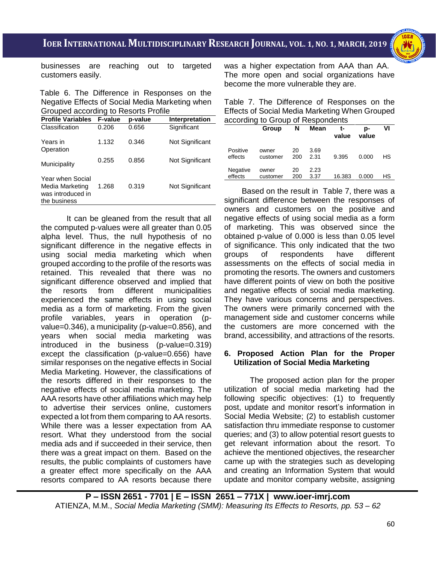

businesses are reaching out to targeted customers easily.

Table 6. The Difference in Responses on the Negative Effects of Social Media Marketing when Grouped according to Resorts Profile

| <b>Profile Variables</b>                                                 | <b>F-value</b> | p-value | Interpretation  |
|--------------------------------------------------------------------------|----------------|---------|-----------------|
| Classification                                                           | 0.206          | 0.656   | Significant     |
| Years in<br>Operation                                                    | 1.132          | 0.346   | Not Significant |
| Municipality                                                             | 0.255          | 0.856   | Not Significant |
| Year when Social<br>Media Marketing<br>was introduced in<br>the business | 1.268          | 0.319   | Not Significant |

It can be gleaned from the result that all the computed p-values were all greater than 0.05 alpha level. Thus, the null hypothesis of no significant difference in the negative effects in using social media marketing which when grouped according to the profile of the resorts was retained. This revealed that there was no significant difference observed and implied that the resorts from different municipalities experienced the same effects in using social media as a form of marketing. From the given profile variables, years in operation (pvalue=0.346), a municipality (p-value=0.856), and years when social media marketing was introduced in the business (p-value=0.319) except the classification (p-value=0.656) have similar responses on the negative effects in Social Media Marketing. However, the classifications of the resorts differed in their responses to the negative effects of social media marketing. The AAA resorts have other affiliations which may help to advertise their services online, customers expected a lot from them comparing to AA resorts. While there was a lesser expectation from AA resort. What they understood from the social media ads and if succeeded in their service, then there was a great impact on them. Based on the results, the public complaints of customers have a greater effect more specifically on the AAA resorts compared to AA resorts because there

was a higher expectation from AAA than AA. The more open and social organizations have become the more vulnerable they are.

Table 7. The Difference of Responses on the Effects of Social Media Marketing When Grouped according to Group of Respondents

|                     | Group             | N         | Mean         | t-<br>value | Ŋ-<br>value | VI |
|---------------------|-------------------|-----------|--------------|-------------|-------------|----|
| Positive<br>effects | owner<br>customer | 20<br>200 | 3.69<br>2.31 | 9.395       | 0.000       | НS |
| Negative<br>effects | owner<br>customer | 20<br>200 | 2.23<br>3.37 | 16.383      | 0.000       | НS |

 Based on the result in Table 7, there was a significant difference between the responses of owners and customers on the positive and negative effects of using social media as a form of marketing. This was observed since the obtained p-value of 0.000 is less than 0.05 level of significance. This only indicated that the two groups of respondents have different assessments on the effects of social media in promoting the resorts. The owners and customers have different points of view on both the positive and negative effects of social media marketing. They have various concerns and perspectives. The owners were primarily concerned with the management side and customer concerns while the customers are more concerned with the brand, accessibility, and attractions of the resorts.

## **6. Proposed Action Plan for the Proper Utilization of Social Media Marketing**

The proposed action plan for the proper utilization of social media marketing had the following specific objectives: (1) to frequently post, update and monitor resort's information in Social Media Website; (2) to establish customer satisfaction thru immediate response to customer queries; and (3) to allow potential resort guests to get relevant information about the resort. To achieve the mentioned objectives, the researcher came up with the strategies such as developing and creating an Information System that would update and monitor company website, assigning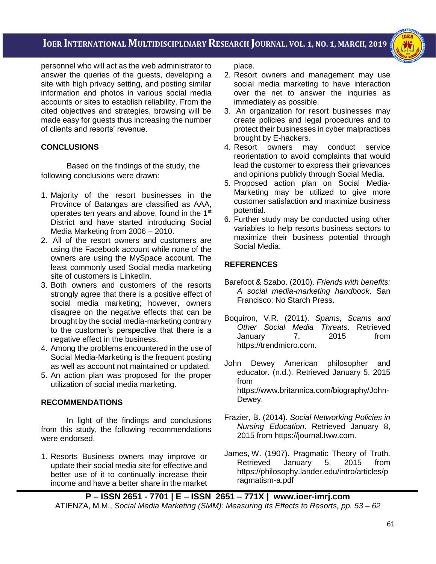i<br>I

personnel who will act as the web administrator to answer the queries of the guests, developing a site with high privacy setting, and posting similar information and photos in various social media accounts or sites to establish reliability. From the cited objectives and strategies, browsing will be made easy for guests thus increasing the number of clients and resorts' revenue.

## **CONCLUSIONS**

 Based on the findings of the study, the following conclusions were drawn:

- 1. Majority of the resort businesses in the Province of Batangas are classified as AAA, operates ten years and above, found in the 1st District and have started introducing Social Media Marketing from 2006 – 2010.
- 2. All of the resort owners and customers are using the Facebook account while none of the owners are using the MySpace account. The least commonly used Social media marketing site of customers is LinkedIn.
- 3. Both owners and customers of the resorts strongly agree that there is a positive effect of social media marketing; however, owners disagree on the negative effects that can be brought by the social media-marketing contrary to the customer's perspective that there is a negative effect in the business.
- 4. Among the problems encountered in the use of Social Media-Marketing is the frequent posting as well as account not maintained or updated.
- 5. An action plan was proposed for the proper utilization of social media marketing.

## **RECOMMENDATIONS**

In light of the findings and conclusions from this study, the following recommendations were endorsed.

1. Resorts Business owners may improve or update their social media site for effective and better use of it to continually increase their income and have a better share in the market

place.

- 2. Resort owners and management may use social media marketing to have interaction over the net to answer the inquiries as immediately as possible.
- 3. An organization for resort businesses may create policies and legal procedures and to protect their businesses in cyber malpractices brought by E-hackers.
- 4. Resort owners may conduct service reorientation to avoid complaints that would lead the customer to express their grievances and opinions publicly through Social Media.
- 5. Proposed action plan on Social Media-Marketing may be utilized to give more customer satisfaction and maximize business potential.
- 6. Further study may be conducted using other variables to help resorts business sectors to maximize their business potential through Social Media.

# **REFERENCES**

- Barefoot & Szabo. (2010). *Friends with benefits: A social media-marketing handbook*. San Francisco: No Starch Press.
- Boquiron, V.R. (2011). *Spams, Scams and Other Social Media Threats*. Retrieved January 7, 2015 from [https://trendmicro.com.](https://trendmicro.com/)
- John Dewey American philosopher and educator. (n.d.). Retrieved January 5, 2015 from [https://www.britannica.com/biography/John-](https://www.britannica.com/biography/John-Dewey)[Dewey.](https://www.britannica.com/biography/John-Dewey)
- Frazier, B. (2014). *Social Networking Policies in Nursing Education*. Retrieved January 8, 2015 from https://journal.Iww.com.
- James, W. (1907). Pragmatic Theory of Truth. Retrieved January 5, 2015 from https://philosophy.lander.edu/intro/articles/p ragmatism-a.pdf